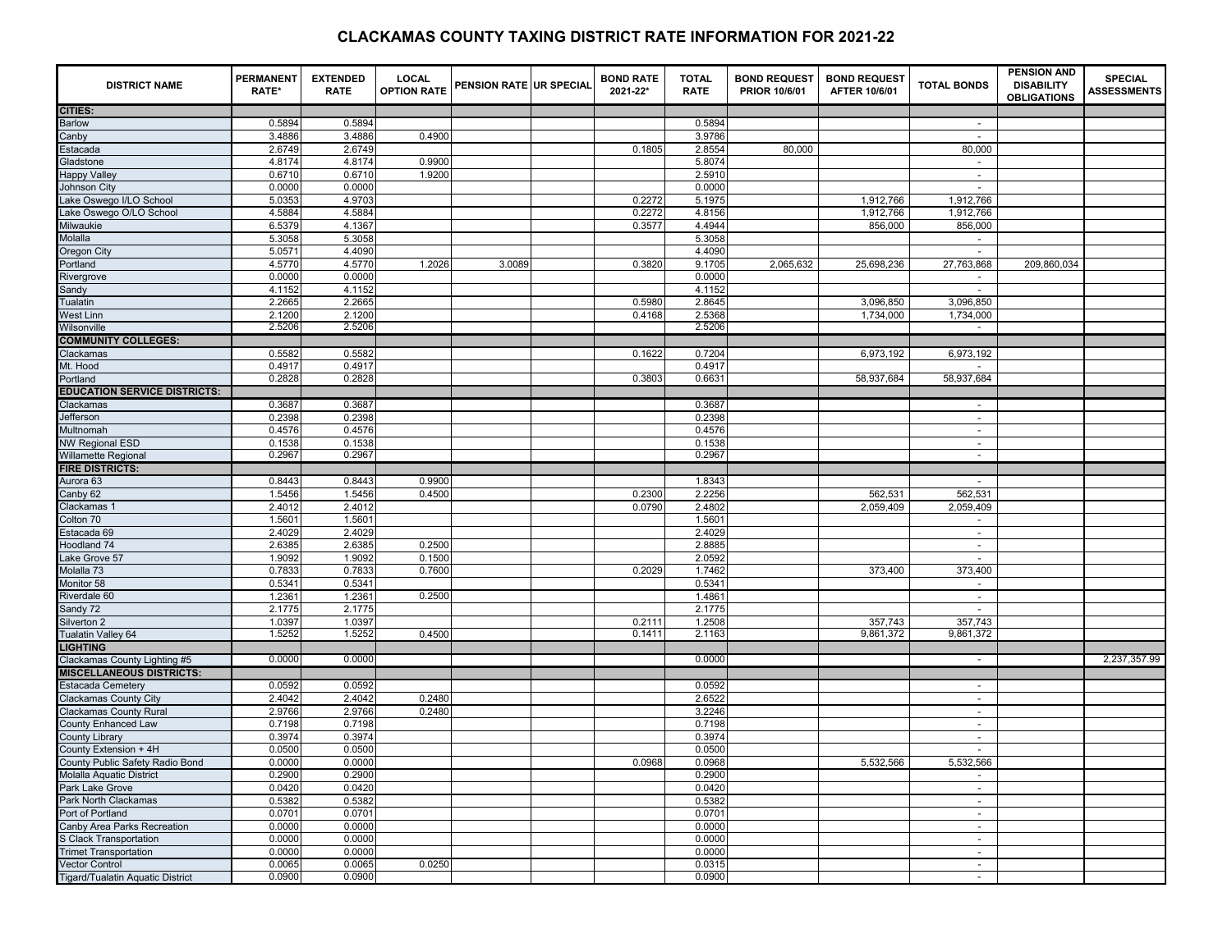## **CLACKAMAS COUNTY TAXING DISTRICT RATE INFORMATION FOR 2021-22**

| <b>DISTRICT NAME</b>                    | <b>PERMANENT</b><br>RATE* | <b>EXTENDED</b><br><b>RATE</b> | <b>LOCAL</b><br><b>OPTION RATE</b> | PENSION RATE UR SPECIAL | <b>BOND RATE</b><br>2021-22* | <b>TOTAL</b><br><b>RATE</b> | <b>BOND REQUEST</b><br><b>PRIOR 10/6/01</b> | <b>BOND REQUEST</b><br>AFTER 10/6/01 | <b>TOTAL BONDS</b> | <b>PENSION AND</b><br><b>DISABILITY</b><br><b>OBLIGATIONS</b> | <b>SPECIAL</b><br><b>ASSESSMENTS</b> |
|-----------------------------------------|---------------------------|--------------------------------|------------------------------------|-------------------------|------------------------------|-----------------------------|---------------------------------------------|--------------------------------------|--------------------|---------------------------------------------------------------|--------------------------------------|
| CITIES:                                 |                           |                                |                                    |                         |                              |                             |                                             |                                      |                    |                                                               |                                      |
| <b>Barlow</b>                           | 0.5894                    | 0.5894                         |                                    |                         |                              | 0.5894                      |                                             |                                      | $\sim$             |                                                               |                                      |
| Canby                                   | 3.4886                    | 3.4886                         | 0.4900                             |                         |                              | 3.9786                      |                                             |                                      | $\sim$             |                                                               |                                      |
| Estacada                                | 2.6749                    | 2.6749                         |                                    |                         | 0.1805                       | 2.8554                      | 80,000                                      |                                      | 80,000             |                                                               |                                      |
| Gladstone                               | 4.8174                    | 4.8174                         | 0.9900                             |                         |                              | 5.8074                      |                                             |                                      | $\sim$             |                                                               |                                      |
| <b>Happy Valley</b>                     | 0.6710                    | 0.6710                         | 1.9200                             |                         |                              | 2.5910                      |                                             |                                      | $\sim$             |                                                               |                                      |
| Johnson City                            | 0.0000                    | 0.0000                         |                                    |                         |                              | 0.0000                      |                                             |                                      | $\sim$             |                                                               |                                      |
| Lake Oswego I/LO School                 | 5.0353                    | 4.9703                         |                                    |                         | 0.2272                       | 5.1975                      |                                             | 1,912,766                            | 1,912,766          |                                                               |                                      |
| Lake Oswego O/LO School                 | 4.5884                    | 4.5884                         |                                    |                         | 0.2272                       | 4.8156                      |                                             | 1,912,766                            | 1,912,766          |                                                               |                                      |
| Milwaukie                               | 6.5379                    | 4.1367                         |                                    |                         | 0.3577                       | 4.4944                      |                                             | 856,000                              | 856,000            |                                                               |                                      |
| Molalla                                 | 5.3058                    | 5.3058                         |                                    |                         |                              | 5.3058                      |                                             |                                      | $\sim$             |                                                               |                                      |
| Oregon City                             | 5.0571                    | 4.4090                         |                                    |                         |                              | 4.4090                      |                                             |                                      | $\sim$             |                                                               |                                      |
| Portland                                | 4.5770                    | 4.5770                         | 1.2026                             | 3.0089                  | 0.3820                       | 9.1705                      | 2,065,632                                   | 25,698,236                           | 27,763,868         | 209,860,034                                                   |                                      |
| Rivergrove                              | 0.0000                    | 0.0000                         |                                    |                         |                              | 0.0000                      |                                             |                                      | $\omega$           |                                                               |                                      |
| Sandy                                   | 4.1152                    | 4.1152                         |                                    |                         |                              | 4.1152                      |                                             |                                      | $\sim$             |                                                               |                                      |
| Tualatin                                | 2.2665                    | 2.2665                         |                                    |                         | 0.5980                       | 2.8645                      |                                             | 3,096,850                            | 3,096,850          |                                                               |                                      |
| <b>West Linn</b>                        | 2.1200                    | 2.1200                         |                                    |                         | 0.4168                       | 2.5368                      |                                             | 1,734,000                            | 1,734,000          |                                                               |                                      |
| Wilsonville                             | 2.5206                    | 2.5206                         |                                    |                         |                              | 2.5206                      |                                             |                                      | $\sim$             |                                                               |                                      |
| <b>COMMUNITY COLLEGES:</b>              |                           |                                |                                    |                         |                              |                             |                                             |                                      |                    |                                                               |                                      |
| Clackamas                               | 0.5582                    | 0.5582                         |                                    |                         | 0.1622                       | 0.7204                      |                                             | 6,973,192                            | 6,973,192          |                                                               |                                      |
| Mt. Hood                                | 0.4917                    | 0.4917                         |                                    |                         |                              | 0.4917                      |                                             |                                      |                    |                                                               |                                      |
| Portland                                | 0.2828                    | 0.2828                         |                                    |                         | 0.3803                       | 0.6631                      |                                             | 58,937,684                           | 58,937,684         |                                                               |                                      |
| <b>EDUCATION SERVICE DISTRICTS:</b>     |                           |                                |                                    |                         |                              |                             |                                             |                                      |                    |                                                               |                                      |
| Clackamas                               | 0.3687                    | 0.3687                         |                                    |                         |                              | 0.3687                      |                                             |                                      | $\sim$             |                                                               |                                      |
| Jefferson                               | 0.2398                    | 0.2398                         |                                    |                         |                              | 0.2398                      |                                             |                                      | $\sim$             |                                                               |                                      |
| Multnomah                               | 0.4576                    | 0.4576                         |                                    |                         |                              | 0.4576                      |                                             |                                      | $\sim$             |                                                               |                                      |
| <b>NW Regional ESD</b>                  | 0.1538                    | 0.1538                         |                                    |                         |                              | 0.1538                      |                                             |                                      | $\sim$             |                                                               |                                      |
| <b>Willamette Regional</b>              | 0.2967                    | 0.2967                         |                                    |                         |                              | 0.2967                      |                                             |                                      | $\sim$             |                                                               |                                      |
| <b>FIRE DISTRICTS:</b>                  |                           |                                |                                    |                         |                              |                             |                                             |                                      |                    |                                                               |                                      |
| Aurora 63                               | 0.8443                    | 0.8443                         | 0.9900                             |                         |                              | 1.8343                      |                                             |                                      | $\sim$             |                                                               |                                      |
| Canby 62                                | 1.5456                    | 1.5456                         | 0.4500                             |                         | 0.2300                       | 2.2256                      |                                             | 562,531                              | 562,531            |                                                               |                                      |
| Clackamas 1                             | 2.4012                    | 2.4012                         |                                    |                         | 0.0790                       | 2.4802                      |                                             | 2,059,409                            | 2,059,409          |                                                               |                                      |
| Colton 70                               | 1.5601                    | 1.5601                         |                                    |                         |                              | 1.560                       |                                             |                                      | $\omega$           |                                                               |                                      |
| Estacada 69                             | 2.4029                    | 2.4029                         |                                    |                         |                              | 2.4029                      |                                             |                                      | $\sim$             |                                                               |                                      |
| Hoodland 74                             | 2.6385                    | 2.6385                         | 0.2500                             |                         |                              | 2.8885                      |                                             |                                      | $\sim$             |                                                               |                                      |
| Lake Grove 57                           | 1.9092                    | 1.9092                         | 0.1500                             |                         |                              | 2.0592                      |                                             |                                      | $\sim$             |                                                               |                                      |
| Molalla 73                              | 0.7833                    | 0.7833                         | 0.7600                             |                         | 0.2029                       | 1.7462                      |                                             | 373,400                              | 373,400            |                                                               |                                      |
| Monitor 58                              | 0.5341                    | 0.5341                         |                                    |                         |                              | 0.5341                      |                                             |                                      | $\sim$             |                                                               |                                      |
| Riverdale 60                            | 1.2361                    | 1.2361                         | 0.2500                             |                         |                              | 1.4861                      |                                             |                                      | $\sim$             |                                                               |                                      |
| Sandy 72                                | 2.1775                    | 2.1775                         |                                    |                         |                              | 2.1775                      |                                             |                                      | $\blacksquare$     |                                                               |                                      |
| Silverton 2                             | 1.0397                    | 1.0397                         |                                    |                         | 0.2111                       | 1.2508                      |                                             | 357,743                              | 357,743            |                                                               |                                      |
| Tualatin Valley 64                      | 1.5252                    | 1.5252                         | 0.4500                             |                         | 0.1411                       | 2.1163                      |                                             | 9,861,372                            | 9,861,372          |                                                               |                                      |
| <b>LIGHTING</b>                         |                           |                                |                                    |                         |                              |                             |                                             |                                      |                    |                                                               |                                      |
| Clackamas County Lighting #5            | 0.0000                    | 0.0000                         |                                    |                         |                              | 0.0000                      |                                             |                                      | $\sim$             |                                                               | 2,237,357.99                         |
| <b>MISCELLANEOUS DISTRICTS:</b>         |                           |                                |                                    |                         |                              |                             |                                             |                                      |                    |                                                               |                                      |
| <b>Estacada Cemetery</b>                | 0.0592                    | 0.0592                         | 0.2480                             |                         |                              | 0.0592                      |                                             |                                      | $\sim$             |                                                               |                                      |
| <b>Clackamas County City</b>            | 2.4042                    | 2.4042                         |                                    |                         |                              | 2.6522                      |                                             |                                      | $\sim$             |                                                               |                                      |
| <b>Clackamas County Rural</b>           | 2.9766                    | 2.9766                         | 0.2480                             |                         |                              | 3.2246                      |                                             |                                      | $\blacksquare$     |                                                               |                                      |
| <b>County Enhanced Law</b>              | 0.7198                    | 0.7198                         |                                    |                         |                              | 0.7198                      |                                             |                                      | $\sim$             |                                                               |                                      |
| <b>County Library</b>                   | 0.3974                    | 0.3974                         |                                    |                         |                              | 0.3974                      |                                             |                                      | $\sim$             |                                                               |                                      |
| County Extension + 4H                   | 0.0500                    | 0.0500                         |                                    |                         |                              | 0.0500                      |                                             |                                      | $\sim$             |                                                               |                                      |
| County Public Safety Radio Bond         | 0.0000                    | 0.0000                         |                                    |                         | 0.0968                       | 0.0968                      |                                             | 5,532,566                            | 5,532,566          |                                                               |                                      |
| <b>Molalla Aquatic District</b>         | 0.2900                    | 0.2900                         |                                    |                         |                              | 0.2900                      |                                             |                                      | $\sim$             |                                                               |                                      |
| Park Lake Grove                         | 0.0420                    | 0.0420                         |                                    |                         |                              | 0.0420                      |                                             |                                      | $\sim$             |                                                               |                                      |
| Park North Clackamas                    | 0.5382                    | 0.5382                         |                                    |                         |                              | 0.5382                      |                                             |                                      | $\sim$             |                                                               |                                      |
| Port of Portland                        | 0.0701                    | 0.0701                         |                                    |                         |                              | 0.0701                      |                                             |                                      | $\sim$             |                                                               |                                      |
| Canby Area Parks Recreation             | 0.0000                    | 0.0000                         |                                    |                         |                              | 0.0000                      |                                             |                                      | $\sim$             |                                                               |                                      |
| S Clack Transportation                  | 0.0000                    | 0.0000                         |                                    |                         |                              | 0.0000                      |                                             |                                      | $\sim$             |                                                               |                                      |
| <b>Trimet Transportation</b>            | 0.0000                    | 0.0000                         |                                    |                         |                              | 0.0000                      |                                             |                                      | $\sim$             |                                                               |                                      |
| <b>Vector Control</b>                   | 0.0065                    | 0.0065                         | 0.0250                             |                         |                              | 0.0315                      |                                             |                                      | $\sim$             |                                                               |                                      |
| <b>Tigard/Tualatin Aquatic District</b> | 0.0900                    | 0.0900                         |                                    |                         |                              | 0.0900                      |                                             |                                      | $\sim$             |                                                               |                                      |